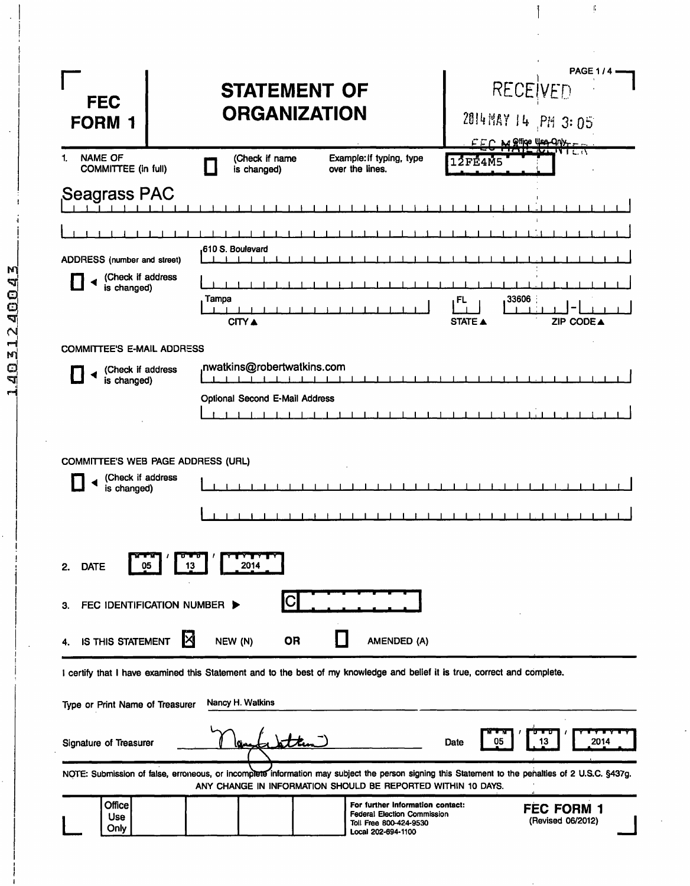| <b>FEC</b><br><b>FORM 1</b>                                                                                                | <b>STATEMENT OF</b><br><b>ORGANIZATION</b>    |                                                                                                                        | RECEIVED<br>2014 MAY 14 PM 3:05<br>FFC M Office Use Only                                                                                          | <b>PAGE 1/4</b> |
|----------------------------------------------------------------------------------------------------------------------------|-----------------------------------------------|------------------------------------------------------------------------------------------------------------------------|---------------------------------------------------------------------------------------------------------------------------------------------------|-----------------|
| <b>NAME OF</b><br>1.<br>COMMITTEE (in full)                                                                                | (Check if name<br>is changed)                 | Example: If typing, type<br>over the lines.                                                                            | <b>12FE4M5</b>                                                                                                                                    |                 |
| Seagrass PAC                                                                                                               |                                               |                                                                                                                        |                                                                                                                                                   |                 |
|                                                                                                                            |                                               |                                                                                                                        |                                                                                                                                                   |                 |
| ADDRESS (number and street)                                                                                                | .610 S. Boulevard                             |                                                                                                                        |                                                                                                                                                   |                 |
| (Check if address<br>is changed)                                                                                           | Tampa<br>CITY ▲                               |                                                                                                                        | 33606<br>FL<br>ZIP CODE A<br>STATE A                                                                                                              |                 |
| <b>COMMITTEE'S E-MAIL ADDRESS</b>                                                                                          |                                               |                                                                                                                        |                                                                                                                                                   |                 |
| (Check if address<br>is changed)                                                                                           | nwatkins@robertwatkins.com<br>$1 + 1 + 1 + 1$ |                                                                                                                        |                                                                                                                                                   |                 |
|                                                                                                                            | Optional Second E-Mail Address                | 11111111                                                                                                               | 1111111111111                                                                                                                                     |                 |
| <b>COMMITTEE'S WEB PAGE ADDRESS (URL)</b>                                                                                  |                                               |                                                                                                                        |                                                                                                                                                   |                 |
| (Check if address<br>is changed)                                                                                           |                                               |                                                                                                                        |                                                                                                                                                   |                 |
|                                                                                                                            |                                               |                                                                                                                        |                                                                                                                                                   |                 |
| 2.<br><b>DATE</b><br>Q5<br>13                                                                                              | 2014                                          |                                                                                                                        |                                                                                                                                                   |                 |
| FEC IDENTIFICATION NUMBER ><br>З.                                                                                          |                                               |                                                                                                                        |                                                                                                                                                   |                 |
| IS THIS STATEMENT                                                                                                          | NEW (N)<br><b>OR</b>                          | AMENDED (A)                                                                                                            |                                                                                                                                                   |                 |
| I certify that I have examined this Statement and to the best of my knowledge and belief it is true, correct and complete. |                                               |                                                                                                                        |                                                                                                                                                   |                 |
| Type or Print Name of Treasurer                                                                                            | Nancy H. Watkins                              |                                                                                                                        |                                                                                                                                                   |                 |
| Signature of Treasurer                                                                                                     |                                               |                                                                                                                        | 05<br>Date<br>13                                                                                                                                  | 2014            |
|                                                                                                                            |                                               | ANY CHANGE IN INFORMATION SHOULD BE REPORTED WITHIN 10 DAYS.                                                           | NOTE: Submission of false, erroneous, or incomplete information may subject the person signing this Statement to the penalties of 2 U.S.C. §437g. |                 |
| <b>Office</b><br><b>Use</b><br>Only                                                                                        |                                               | For further information contact:<br><b>Federal Election Commission</b><br>Toll Free 800-424-9530<br>Local 202-694-1100 | FEC FORM 1<br>(Revised 06/2012)                                                                                                                   |                 |

 $\frac{1}{2}$ 

 $\begin{matrix} \end{matrix}$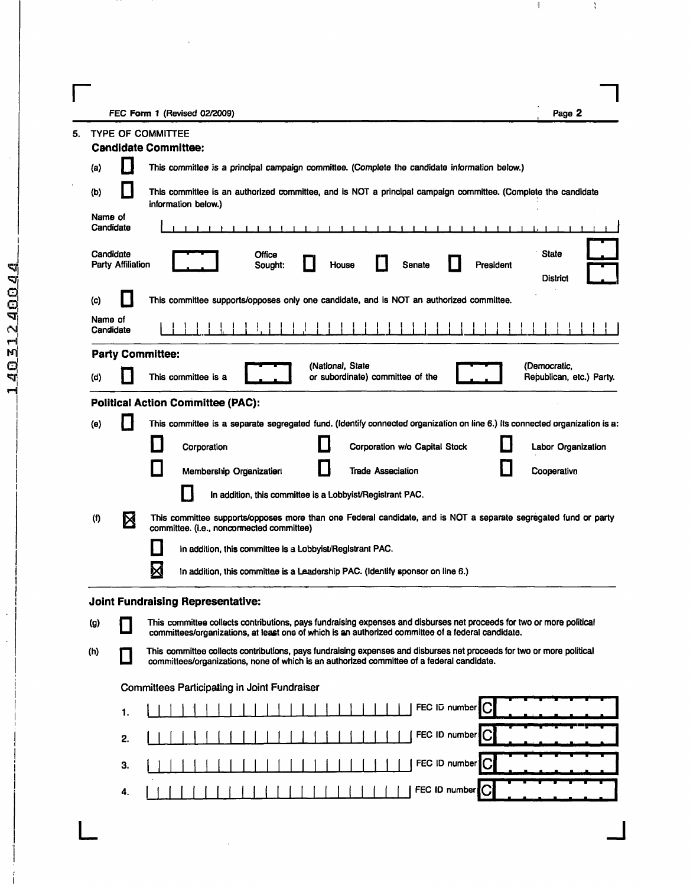$\Gamma$ 

 $\bar{z}$ 

|           |                                       | FEC Form 1 (Revised 02/2009)                                                                                                                                                                                                | Page 2                                   |
|-----------|---------------------------------------|-----------------------------------------------------------------------------------------------------------------------------------------------------------------------------------------------------------------------------|------------------------------------------|
|           |                                       | <b>TYPE OF COMMITTEE</b>                                                                                                                                                                                                    |                                          |
|           |                                       | <b>Candidate Committee:</b>                                                                                                                                                                                                 |                                          |
| (a)       | $\mathsf{I}$                          | This committee is a principal campaign committee. (Complete the candidate information below.)                                                                                                                               |                                          |
| (b)       | ×,                                    | This committee is an authorized committee, and is NOT a principal campaign committee. (Complete the candidate<br>information below.)                                                                                        |                                          |
|           | Name of<br>Candidate                  |                                                                                                                                                                                                                             |                                          |
|           | Candidate<br><b>Party Affiliation</b> | Office<br>Senate<br>President<br>House<br>Sought:                                                                                                                                                                           | <b>State</b><br>District                 |
| $\left( $ |                                       | This committee supports/opposes only one candidate, and is NOT an authorized committee.                                                                                                                                     |                                          |
|           | Name of<br>Candidate                  |                                                                                                                                                                                                                             |                                          |
|           |                                       | <b>Party Committee:</b>                                                                                                                                                                                                     |                                          |
| (d)       |                                       | (National, State<br>This committee is a<br>or subordinate) committee of the                                                                                                                                                 | (Democratic,<br>Republican, etc.) Party. |
|           |                                       | <b>Political Action Committee (PAC):</b>                                                                                                                                                                                    |                                          |
| (e)       |                                       | This committee is a separate segregated fund. (Identify connected organization on line 6.) Its connected organization is a:                                                                                                 |                                          |
|           |                                       | Corporation<br>Corporation w/o Capital Stock                                                                                                                                                                                | Labor Organization                       |
|           |                                       | H<br>Н<br>Ш<br>Membership Organization<br><b>Trade Asseciation</b>                                                                                                                                                          | Cooperative                              |
|           |                                       | In addition, this committee is a Lobbyist/Registrant PAC.                                                                                                                                                                   |                                          |
| (f)       | X                                     | This committee supports/opposes more than one Federal candidate, and is NOT a separate segregated fund or party                                                                                                             |                                          |
|           |                                       | committee. (i.e., noncormected committee)<br>Ш                                                                                                                                                                              |                                          |
|           |                                       | In addition, this committee is a Lobbyist/Registrant PAC.                                                                                                                                                                   |                                          |
|           |                                       | X<br>In addition, this committee is a Leadership PAC. (Identify sponsor on line 6.)                                                                                                                                         |                                          |
|           |                                       | Joint Fundraising Representative:                                                                                                                                                                                           |                                          |
| (g)       |                                       | This committee collects contributions, pays fundraising expenses and disburses net proceeds for two or more political<br>committees/organizations, at least one of which is an authorized committee of a federal candidate. |                                          |
| (h)       | П                                     | This committee collects contributions, pays fundraising expenses and disburses net proceeds for two or more political<br>committees/organizations, none of which is an authorized committee of a federal candidate.         |                                          |
|           |                                       | Committees Participating in Joint Fundraiser                                                                                                                                                                                |                                          |
|           | 1.                                    | FEC ID number                                                                                                                                                                                                               |                                          |
|           | 2.                                    | FEC ID number                                                                                                                                                                                                               |                                          |
|           | З.                                    | FEC ID number                                                                                                                                                                                                               |                                          |
|           |                                       |                                                                                                                                                                                                                             |                                          |

 $\mathbb{L}$ 

 $\mathcal{X}_0$ 

 $\Box$ 

 $\ddot{\phantom{a}}$ 

 $\ddot{\phantom{0}}$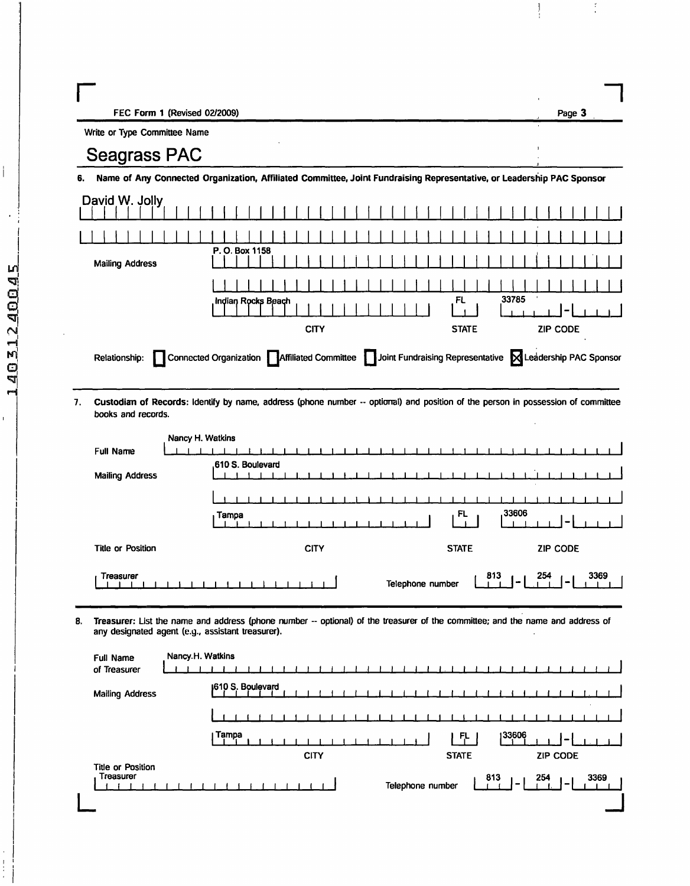| Раое |  |
|------|--|
|      |  |

 $\begin{array}{c} 1 \\ 1 \end{array}$ 

Write or Type Committee Name

## **Seagrass PAC**

Name of Any Connected Organization, Affiliated Committee, Joint Fundraising Representative, or Leadership PAC Sponsor 6.

| David W. Jolly         |                                                                                                                                      |                                 |  |  |  |  |  |
|------------------------|--------------------------------------------------------------------------------------------------------------------------------------|---------------------------------|--|--|--|--|--|
|                        |                                                                                                                                      |                                 |  |  |  |  |  |
| <b>Mailing Address</b> | P. O. Box 1158                                                                                                                       |                                 |  |  |  |  |  |
|                        |                                                                                                                                      |                                 |  |  |  |  |  |
|                        | Indian Rocks Beach                                                                                                                   | 33785<br>FL                     |  |  |  |  |  |
|                        | <b>CITY</b>                                                                                                                          | <b>STATE</b><br><b>ZIP CODE</b> |  |  |  |  |  |
|                        | Connected Organization <b>Affiliated Committee</b> Joint Fundraising Representative <b>X</b> Leadership PAC Sponsor<br>Relationship: |                                 |  |  |  |  |  |

Custodian of Records: Identify by name, address (phone number -- optiomal) and position of the person in possession of committee 7. books and records.

|                          | Nancy H. Watkins                               |  |  |  |  |  |
|--------------------------|------------------------------------------------|--|--|--|--|--|
| <b>Full Name</b>         |                                                |  |  |  |  |  |
| <b>Mailing Address</b>   | .610 S. Boulevard                              |  |  |  |  |  |
|                          |                                                |  |  |  |  |  |
|                          | ,33606<br>FL<br>Tampa                          |  |  |  |  |  |
| <b>Title or Position</b> | <b>ZIP CODE</b><br><b>CITY</b><br><b>STATE</b> |  |  |  |  |  |
| <b>Treasurer</b>         | 813<br>254<br>3369<br>Telephone number         |  |  |  |  |  |

8. Treasurer: List the name and address (phone number -- optional) of the treasurer of the committee; and the name and address of any designated agent (e.g., assistant treasurer).

| Full Name<br>of Treasurer      | Nancy <sub>-H.</sub> Watkins            |
|--------------------------------|-----------------------------------------|
| <b>Mailing Address</b>         | 1610 S. Boulevard                       |
|                                | $\sim$                                  |
|                                | Tampa<br>133606<br>FL.                  |
|                                | <b>CITY</b><br><b>STATE</b><br>ZIP CODE |
| Title or Position<br>Treasurer | 813<br>254<br>3369<br>Telephone number  |

 $\mathbf{I}$ 

i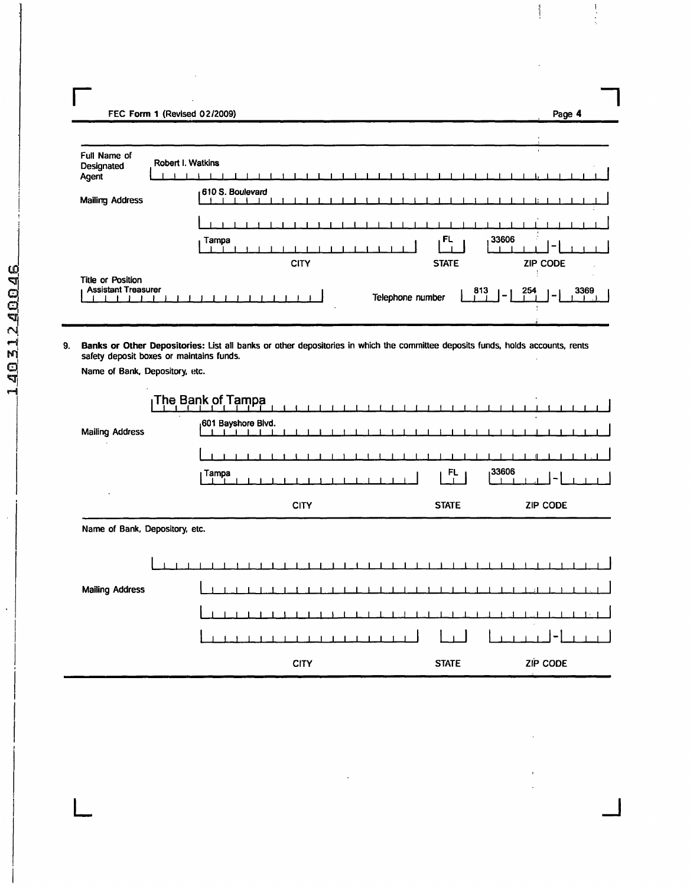FEC Form 1 (Revised 02/2009)

| Full Name of<br>Designated<br>Agent                    | Robert I. Watkins |       |                  |  |  |             |  |  |  |  |                  |              |  |     |         |     |               |                 |  |      |  |
|--------------------------------------------------------|-------------------|-------|------------------|--|--|-------------|--|--|--|--|------------------|--------------|--|-----|---------|-----|---------------|-----------------|--|------|--|
| <b>Mailing Address</b>                                 |                   |       | 610 S. Boulevard |  |  |             |  |  |  |  |                  |              |  |     |         |     |               |                 |  |      |  |
|                                                        |                   |       |                  |  |  |             |  |  |  |  |                  |              |  |     |         |     |               |                 |  |      |  |
|                                                        |                   | Tampa |                  |  |  |             |  |  |  |  |                  | , FL         |  |     | 33606   |     |               | -               |  |      |  |
|                                                        |                   |       |                  |  |  | <b>CITY</b> |  |  |  |  |                  | <b>STATE</b> |  |     |         |     |               | <b>ZIP CODE</b> |  |      |  |
| <b>Title or Position</b><br><b>Assistant Treasurer</b> |                   |       |                  |  |  |             |  |  |  |  | Telephone number |              |  | 813 | $1 - 1$ | 254 | $\mathcal{L}$ |                 |  | 3369 |  |

 $\mathord{\S}$ 

Page 4

Ţ

9. Banks or Other Depositories: List all banks or other depositories in which the committee deposits funds, holds accounts, rents safety deposit boxes or maintains funds.

Name of Bank, Depository, etc.

|                                | The Bank of Tampa               |                          |                 |
|--------------------------------|---------------------------------|--------------------------|-----------------|
| <b>Mailing Address</b>         | <sub>1</sub> 601 Bayshore Blvd. |                          |                 |
|                                |                                 |                          |                 |
|                                | <sub>I</sub> Tampa              | 33606<br>$F_{\parallel}$ |                 |
| ٠                              | <b>CITY</b>                     | <b>STATE</b>             | <b>ZIP CODE</b> |
| Name of Bank, Depository, etc. |                                 |                          |                 |
|                                |                                 |                          |                 |
| <b>Mailing Address</b>         |                                 |                          |                 |
|                                |                                 |                          |                 |
|                                |                                 |                          |                 |
|                                | <b>CITY</b>                     | <b>STATE</b>             | ZIP CODE        |

l,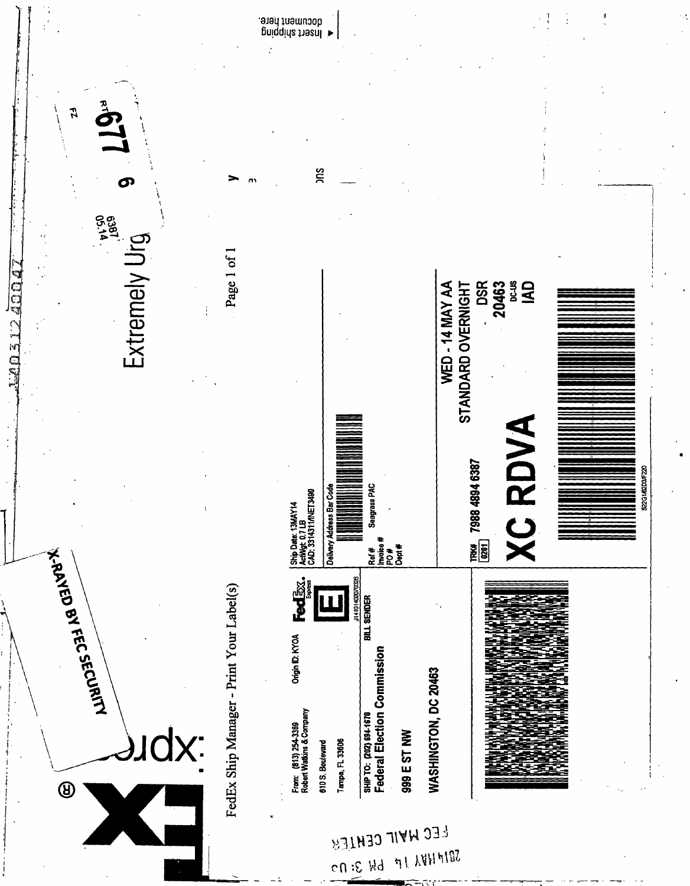